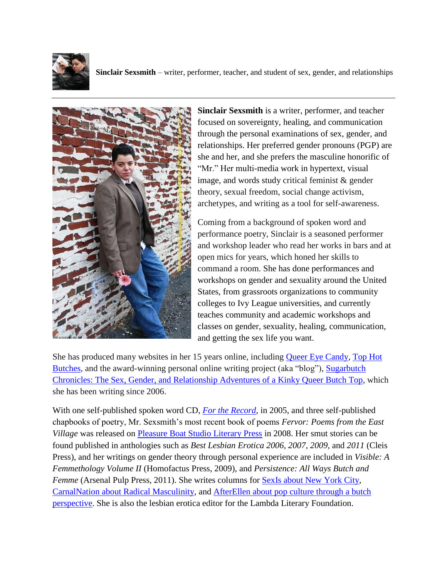



**Sinclair Sexsmith** is a writer, performer, and teacher focused on sovereignty, healing, and communication through the personal examinations of sex, gender, and relationships. Her preferred gender pronouns (PGP) are she and her, and she prefers the masculine honorific of "Mr." Her multi-media work in hypertext, visual image, and words study critical feminist  $\&$  gender theory, sexual freedom, social change activism, archetypes, and writing as a tool for self-awareness.

Coming from a background of spoken word and performance poetry, Sinclair is a seasoned performer and workshop leader who read her works in bars and at open mics for years, which honed her skills to command a room. She has done performances and workshops on gender and sexuality around the United States, from grassroots organizations to community colleges to Ivy League universities, and currently teaches community and academic workshops and classes on gender, sexuality, healing, communication, and getting the sex life you want.

She has produced many websites in her 15 years online, including [Queer Eye Candy,](http://www.queereyecandy.com/) [Top Hot](http://www.tophotbutches.com/)  [Butches,](http://www.tophotbutches.com/) and the award-winning personal online writing project (aka "blog"), [Sugarbutch](http://www.sugarbutch.net/)  [Chronicles: The Sex, Gender, and Relationship Adventures of a Kinky Queer Butch Top,](http://www.sugarbutch.net/) which she has been writing since 2006.

With one self-published spoken word CD, *[For the Record](http://records.mrsexsmith.com/)*, in 2005, and three self-published chapbooks of poetry, Mr. Sexsmith's most recent book of poems *Fervor: Poems from the East Village* was released on [Pleasure Boat Studio Literary Press](http://pleasureboatstudio.com/) in 2008. Her smut stories can be found published in anthologies such as *Best Lesbian Erotica 2006, 2007*, *2009,* and *2011* (Cleis Press), and her writings on gender theory through personal experience are included in *Visible: A Femmethology Volume II* (Homofactus Press, 2009), and *Persistence: All Ways Butch and Femme* (Arsenal Pulp Press, 2011). She writes columns for [SexIs about New York City,](http://www.edenfantasys.com/sexis/columns/mr-sexsmith/) [CarnalNation about Radical Masculinity,](http://carnalnation.com/users/sinclair-sexsmith) and [AfterEllen about pop culture through a butch](http://www.afterellen.com/user/164942/track)  [perspective.](http://www.afterellen.com/user/164942/track) She is also the lesbian erotica editor for the Lambda Literary Foundation.